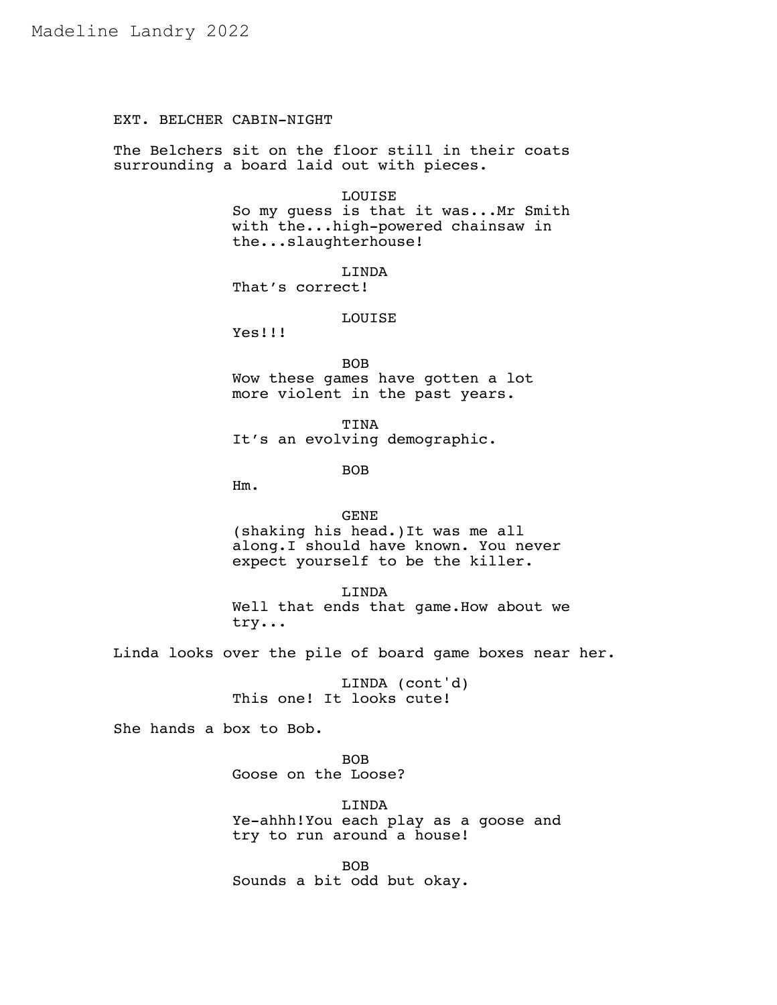# EXT. BELCHER CABIN-NIGHT

The Belchers sit on the floor still in their coats surrounding a board laid out with pieces.

## LOUISE

So my guess is that it was...Mr Smith with the...high-powered chainsaw in the...slaughterhouse!

LINDA That's correct!

## LOUISE

Yes!!!

BOB Wow these games have gotten a lot more violent in the past years.

TINA It's an evolving demographic.

BOB

Hm.

GENE (shaking his head.)It was me all along.I should have known. You never expect yourself to be the killer.

LINDA Well that ends that game.How about we try...

Linda looks over the pile of board game boxes near her.

LINDA (cont'd) This one! It looks cute!

She hands a box to Bob.

BOB Goose on the Loose?

LINDA Ye-ahhh!You each play as a goose and try to run around a house!

BOB Sounds a bit odd but okay.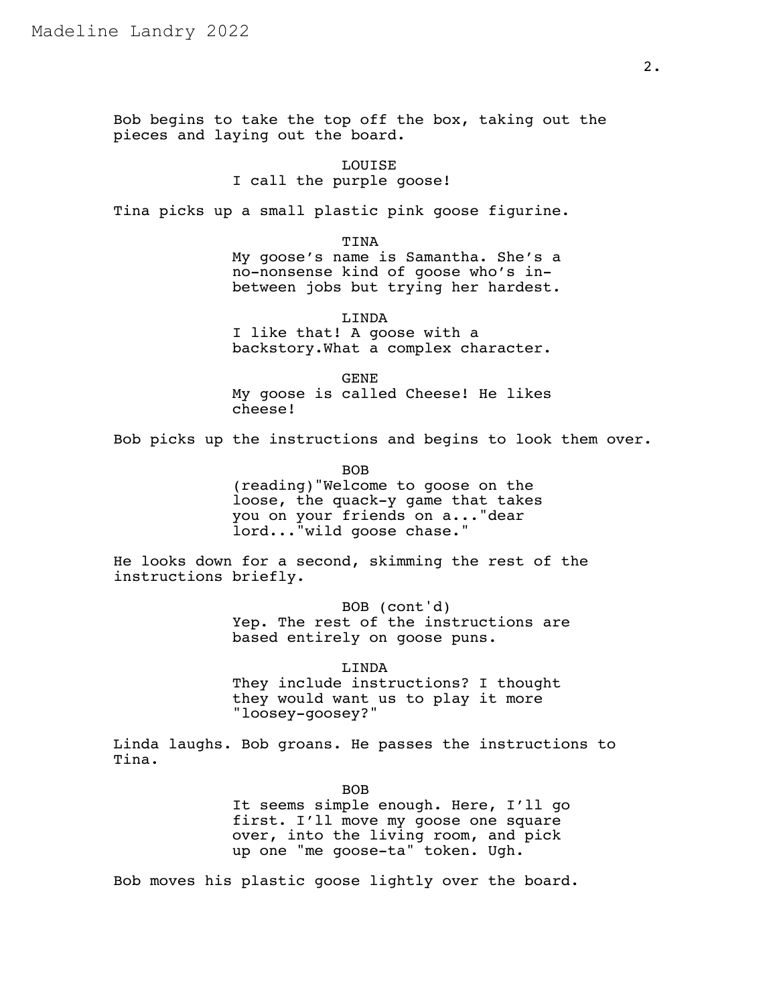Bob begins to take the top off the box, taking out the pieces and laying out the board.

> LOUISE I call the purple goose!

Tina picks up a small plastic pink goose figurine.

TINA

My goose's name is Samantha. She's a no-nonsense kind of goose who's inbetween jobs but trying her hardest.

LINDA I like that! A goose with a backstory.What a complex character.

GENE My goose is called Cheese! He likes cheese!

Bob picks up the instructions and begins to look them over.

BOB (reading)"Welcome to goose on the loose, the quack-y game that takes you on your friends on a..."dear lord..."wild goose chase."

He looks down for a second, skimming the rest of the instructions briefly.

> BOB (cont'd) Yep. The rest of the instructions are based entirely on goose puns.

LINDA They include instructions? I thought they would want us to play it more "loosey-goosey?"

Linda laughs. Bob groans. He passes the instructions to Tina.

BOB

It seems simple enough. Here, I'll go first. I'll move my goose one square over, into the living room, and pick up one "me goose-ta" token. Ugh.

Bob moves his plastic goose lightly over the board.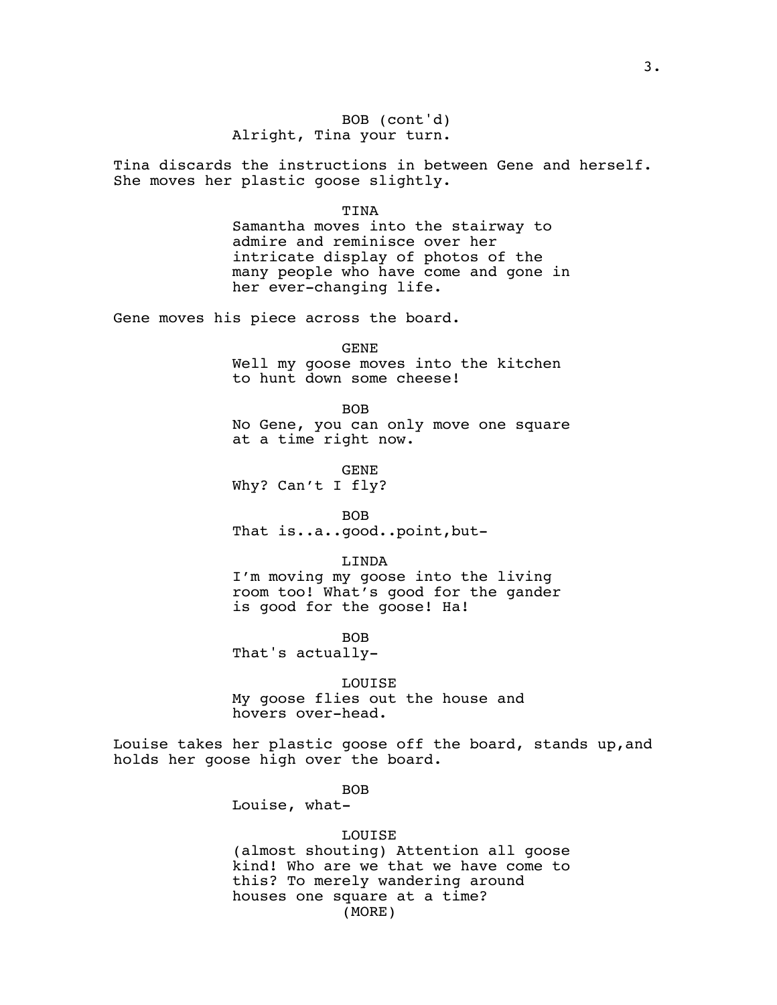## BOB (cont'd) Alright, Tina your turn.

Tina discards the instructions in between Gene and herself. She moves her plastic goose slightly.

#### TINA

Samantha moves into the stairway to admire and reminisce over her intricate display of photos of the many people who have come and gone in her ever-changing life.

Gene moves his piece across the board.

GENE

Well my goose moves into the kitchen to hunt down some cheese!

BOB

No Gene, you can only move one square at a time right now.

GENE Why? Can't I fly?

BOB That is..a..good..point,but-

LINDA

I'm moving my goose into the living room too! What's good for the gander is good for the goose! Ha!

BOB

That's actually-

LOUISE

My goose flies out the house and hovers over-head.

Louise takes her plastic goose off the board, stands up,and holds her goose high over the board.

BOB

Louise, what-

### LOUISE

(almost shouting) Attention all goose kind! Who are we that we have come to this? To merely wandering around houses one square at a time? (MORE)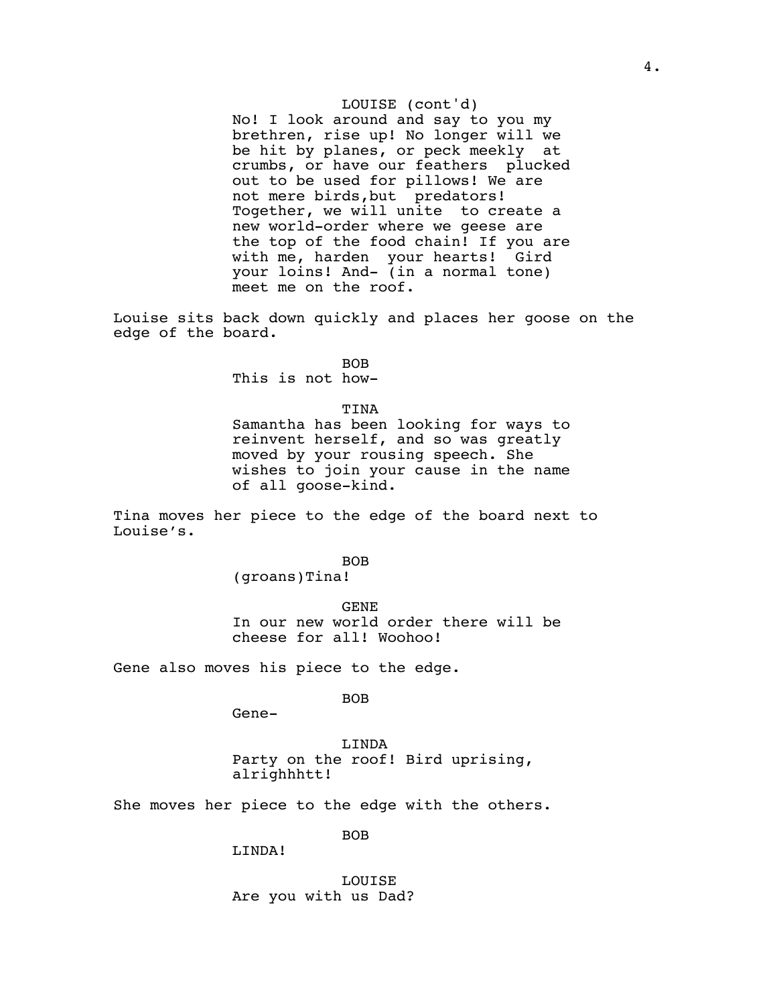## LOUISE (cont'd)

No! I look around and say to you my brethren, rise up! No longer will we be hit by planes, or peck meekly at crumbs, or have our feathers plucked out to be used for pillows! We are not mere birds,but predators! Together, we will unite to create a new world-order where we geese are the top of the food chain! If you are with me, harden your hearts! Gird your loins! And- (in a normal tone) meet me on the roof.

Louise sits back down quickly and places her goose on the edge of the board.

BOB

This is not how-

### TINA

Samantha has been looking for ways to reinvent herself, and so was greatly moved by your rousing speech. She wishes to join your cause in the name of all goose-kind.

Tina moves her piece to the edge of the board next to Louise's.

BOB

(groans)Tina!

GENE In our new world order there will be cheese for all! Woohoo!

Gene also moves his piece to the edge.

BOB

Gene-

LINDA Party on the roof! Bird uprising, alrighhhtt!

She moves her piece to the edge with the others.

BOB

LINDA!

LOUISE Are you with us Dad?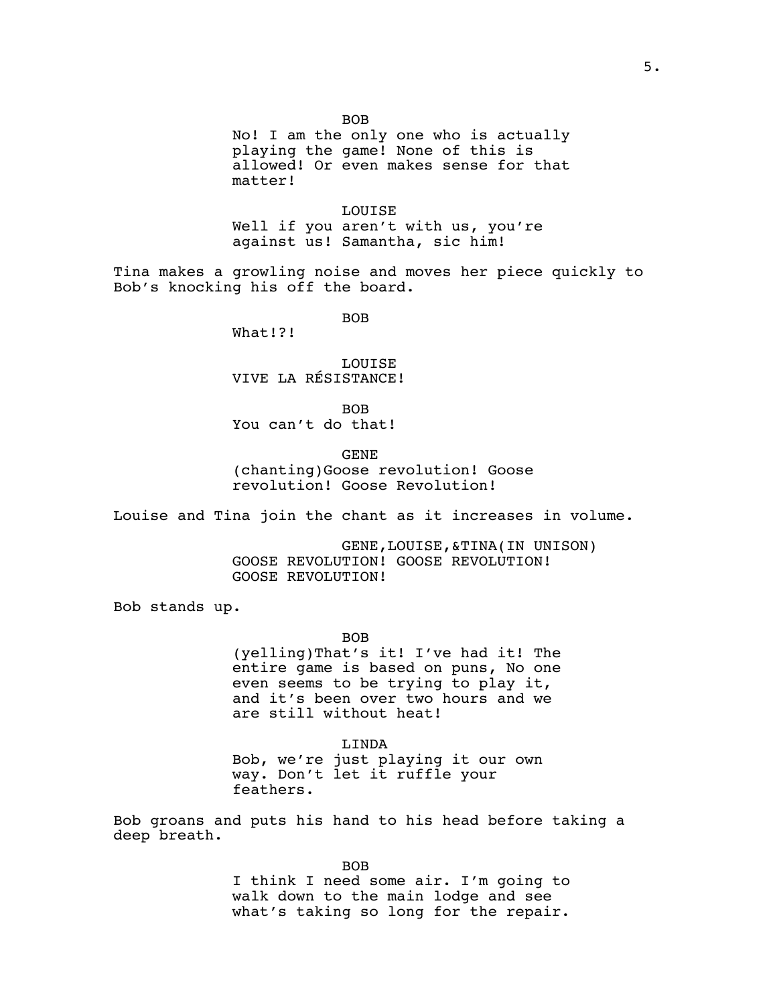BOB

No! I am the only one who is actually playing the game! None of this is allowed! Or even makes sense for that matter!

LOUISE Well if you aren't with us, you're against us! Samantha, sic him!

Tina makes a growling noise and moves her piece quickly to Bob's knocking his off the board.

BOB

What!?!

LOUISE VIVE LA RÉSISTANCE!

BOB You can't do that!

GENE

(chanting)Goose revolution! Goose revolution! Goose Revolution!

Louise and Tina join the chant as it increases in volume.

GENE,LOUISE,&TINA(IN UNISON) GOOSE REVOLUTION! GOOSE REVOLUTION! GOOSE REVOLUTION!

Bob stands up.

BOB

(yelling)That's it! I've had it! The entire game is based on puns, No one even seems to be trying to play it, and it's been over two hours and we are still without heat!

LINDA Bob, we're just playing it our own way. Don't let it ruffle your feathers.

Bob groans and puts his hand to his head before taking a deep breath.

> BOB I think I need some air. I'm going to walk down to the main lodge and see what's taking so long for the repair.